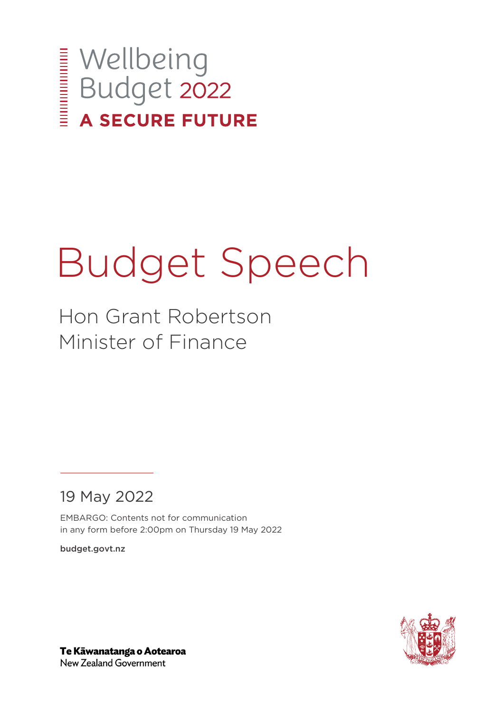

# Budget Speech

Hon Grant Robertson Minister of Finance

19 May 2022

EMBARGO: Contents not for communication in any form before 2:00pm on Thursday 19 May 2022

budget.govt.nz



Te Kāwanatanga o Aotearoa New Zealand Government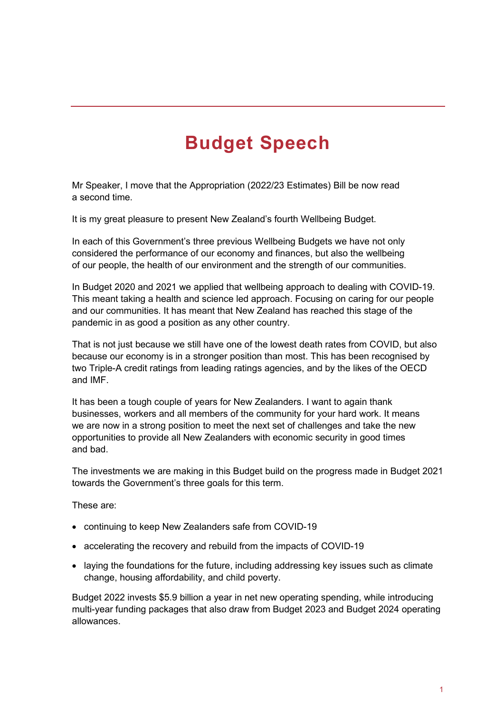## **Budget Speech**

Mr Speaker, I move that the Appropriation (2022/23 Estimates) Bill be now read a second time.

It is my great pleasure to present New Zealand's fourth Wellbeing Budget.

In each of this Government's three previous Wellbeing Budgets we have not only considered the performance of our economy and finances, but also the wellbeing of our people, the health of our environment and the strength of our communities.

In Budget 2020 and 2021 we applied that wellbeing approach to dealing with COVID-19. This meant taking a health and science led approach. Focusing on caring for our people and our communities. It has meant that New Zealand has reached this stage of the pandemic in as good a position as any other country.

That is not just because we still have one of the lowest death rates from COVID, but also because our economy is in a stronger position than most. This has been recognised by two Triple-A credit ratings from leading ratings agencies, and by the likes of the OECD and IMF.

It has been a tough couple of years for New Zealanders. I want to again thank businesses, workers and all members of the community for your hard work. It means we are now in a strong position to meet the next set of challenges and take the new opportunities to provide all New Zealanders with economic security in good times and bad.

The investments we are making in this Budget build on the progress made in Budget 2021 towards the Government's three goals for this term.

These are:

- continuing to keep New Zealanders safe from COVID-19
- accelerating the recovery and rebuild from the impacts of COVID-19
- laying the foundations for the future, including addressing key issues such as climate change, housing affordability, and child poverty.

Budget 2022 invests \$5.9 billion a year in net new operating spending, while introducing multi-year funding packages that also draw from Budget 2023 and Budget 2024 operating allowances.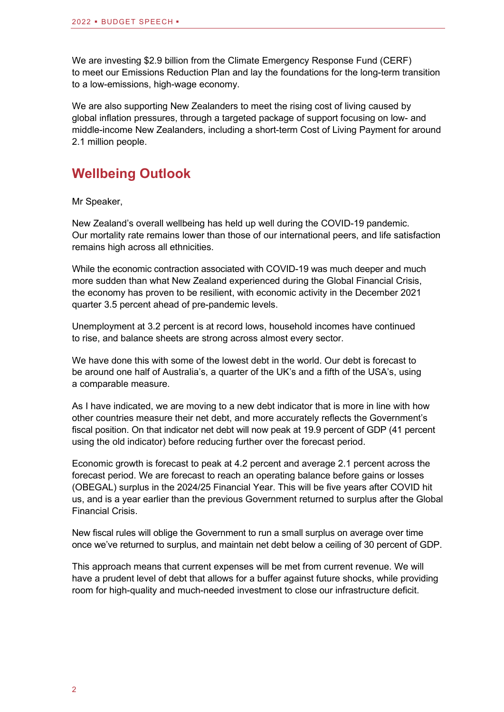We are investing \$2.9 billion from the Climate Emergency Response Fund (CERF) to meet our Emissions Reduction Plan and lay the foundations for the long-term transition to a low-emissions, high-wage economy.

We are also supporting New Zealanders to meet the rising cost of living caused by global inflation pressures, through a targeted package of support focusing on low- and middle-income New Zealanders, including a short-term Cost of Living Payment for around 2.1 million people.

#### **Wellbeing Outlook**

Mr Speaker,

New Zealand's overall wellbeing has held up well during the COVID-19 pandemic. Our mortality rate remains lower than those of our international peers, and life satisfaction remains high across all ethnicities.

While the economic contraction associated with COVID-19 was much deeper and much more sudden than what New Zealand experienced during the Global Financial Crisis, the economy has proven to be resilient, with economic activity in the December 2021 quarter 3.5 percent ahead of pre-pandemic levels.

Unemployment at 3.2 percent is at record lows, household incomes have continued to rise, and balance sheets are strong across almost every sector.

We have done this with some of the lowest debt in the world. Our debt is forecast to be around one half of Australia's, a quarter of the UK's and a fifth of the USA's, using a comparable measure.

As I have indicated, we are moving to a new debt indicator that is more in line with how other countries measure their net debt, and more accurately reflects the Government's fiscal position. On that indicator net debt will now peak at 19.9 percent of GDP (41 percent using the old indicator) before reducing further over the forecast period.

Economic growth is forecast to peak at 4.2 percent and average 2.1 percent across the forecast period. We are forecast to reach an operating balance before gains or losses (OBEGAL) surplus in the 2024/25 Financial Year. This will be five years after COVID hit us, and is a year earlier than the previous Government returned to surplus after the Global Financial Crisis.

New fiscal rules will oblige the Government to run a small surplus on average over time once we've returned to surplus, and maintain net debt below a ceiling of 30 percent of GDP.

This approach means that current expenses will be met from current revenue. We will have a prudent level of debt that allows for a buffer against future shocks, while providing room for high-quality and much-needed investment to close our infrastructure deficit.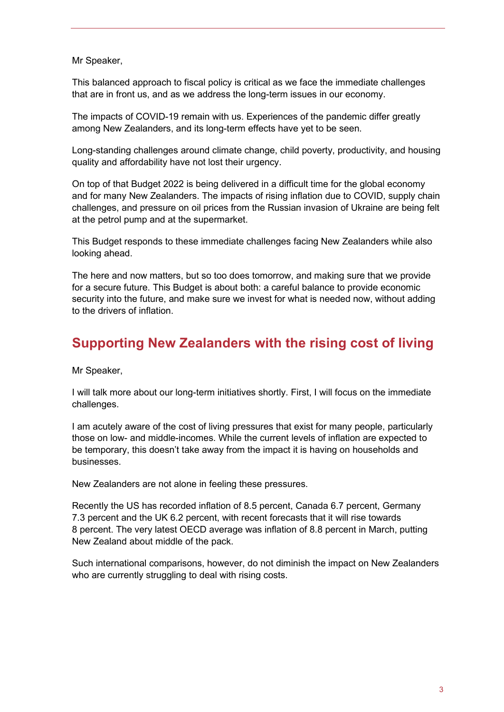Mr Speaker,

This balanced approach to fiscal policy is critical as we face the immediate challenges that are in front us, and as we address the long-term issues in our economy.

The impacts of COVID-19 remain with us. Experiences of the pandemic differ greatly among New Zealanders, and its long-term effects have yet to be seen.

Long-standing challenges around climate change, child poverty, productivity, and housing quality and affordability have not lost their urgency.

On top of that Budget 2022 is being delivered in a difficult time for the global economy and for many New Zealanders. The impacts of rising inflation due to COVID, supply chain challenges, and pressure on oil prices from the Russian invasion of Ukraine are being felt at the petrol pump and at the supermarket.

This Budget responds to these immediate challenges facing New Zealanders while also looking ahead.

The here and now matters, but so too does tomorrow, and making sure that we provide for a secure future. This Budget is about both: a careful balance to provide economic security into the future, and make sure we invest for what is needed now, without adding to the drivers of inflation.

#### **Supporting New Zealanders with the rising cost of living**

Mr Speaker,

I will talk more about our long-term initiatives shortly. First, I will focus on the immediate challenges.

I am acutely aware of the cost of living pressures that exist for many people, particularly those on low- and middle-incomes. While the current levels of inflation are expected to be temporary, this doesn't take away from the impact it is having on households and businesses.

New Zealanders are not alone in feeling these pressures.

Recently the US has recorded inflation of 8.5 percent, Canada 6.7 percent, Germany 7.3 percent and the UK 6.2 percent, with recent forecasts that it will rise towards 8 percent. The very latest OECD average was inflation of 8.8 percent in March, putting New Zealand about middle of the pack.

Such international comparisons, however, do not diminish the impact on New Zealanders who are currently struggling to deal with rising costs.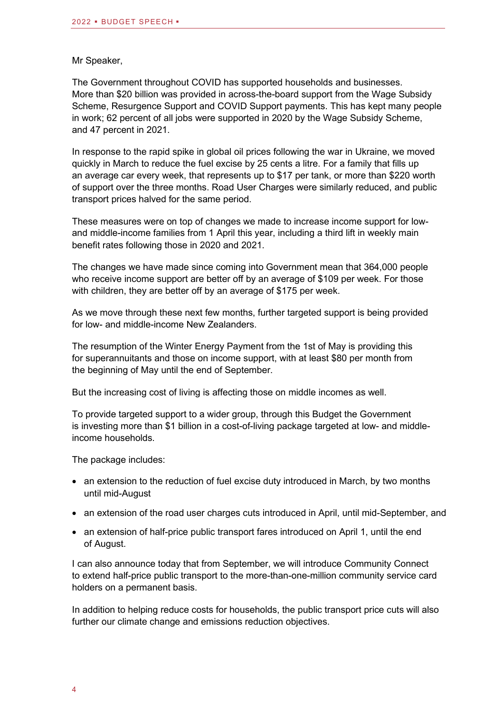#### Mr Speaker,

The Government throughout COVID has supported households and businesses. More than \$20 billion was provided in across-the-board support from the Wage Subsidy Scheme, Resurgence Support and COVID Support payments. This has kept many people in work; 62 percent of all jobs were supported in 2020 by the Wage Subsidy Scheme, and 47 percent in 2021.

In response to the rapid spike in global oil prices following the war in Ukraine, we moved quickly in March to reduce the fuel excise by 25 cents a litre. For a family that fills up an average car every week, that represents up to \$17 per tank, or more than \$220 worth of support over the three months. Road User Charges were similarly reduced, and public transport prices halved for the same period.

These measures were on top of changes we made to increase income support for lowand middle-income families from 1 April this year, including a third lift in weekly main benefit rates following those in 2020 and 2021.

The changes we have made since coming into Government mean that 364,000 people who receive income support are better off by an average of \$109 per week. For those with children, they are better off by an average of \$175 per week.

As we move through these next few months, further targeted support is being provided for low- and middle-income New Zealanders.

The resumption of the Winter Energy Payment from the 1st of May is providing this for superannuitants and those on income support, with at least \$80 per month from the beginning of May until the end of September.

But the increasing cost of living is affecting those on middle incomes as well.

To provide targeted support to a wider group, through this Budget the Government is investing more than \$1 billion in a cost-of-living package targeted at low- and middleincome households.

The package includes:

- an extension to the reduction of fuel excise duty introduced in March, by two months until mid-August
- an extension of the road user charges cuts introduced in April, until mid-September, and
- an extension of half-price public transport fares introduced on April 1, until the end of August.

I can also announce today that from September, we will introduce Community Connect to extend half-price public transport to the more-than-one-million community service card holders on a permanent basis.

In addition to helping reduce costs for households, the public transport price cuts will also further our climate change and emissions reduction objectives.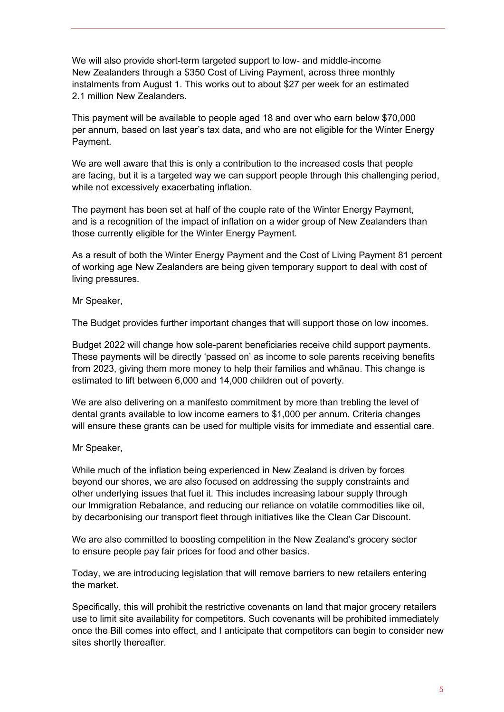We will also provide short-term targeted support to low- and middle-income New Zealanders through a \$350 Cost of Living Payment, across three monthly instalments from August 1. This works out to about \$27 per week for an estimated 2.1 million New Zealanders.

This payment will be available to people aged 18 and over who earn below \$70,000 per annum, based on last year's tax data, and who are not eligible for the Winter Energy Payment.

We are well aware that this is only a contribution to the increased costs that people are facing, but it is a targeted way we can support people through this challenging period, while not excessively exacerbating inflation.

The payment has been set at half of the couple rate of the Winter Energy Payment, and is a recognition of the impact of inflation on a wider group of New Zealanders than those currently eligible for the Winter Energy Payment.

As a result of both the Winter Energy Payment and the Cost of Living Payment 81 percent of working age New Zealanders are being given temporary support to deal with cost of living pressures.

Mr Speaker,

The Budget provides further important changes that will support those on low incomes.

Budget 2022 will change how sole-parent beneficiaries receive child support payments. These payments will be directly 'passed on' as income to sole parents receiving benefits from 2023, giving them more money to help their families and whānau. This change is estimated to lift between 6,000 and 14,000 children out of poverty.

We are also delivering on a manifesto commitment by more than trebling the level of dental grants available to low income earners to \$1,000 per annum. Criteria changes will ensure these grants can be used for multiple visits for immediate and essential care.

Mr Speaker,

While much of the inflation being experienced in New Zealand is driven by forces beyond our shores, we are also focused on addressing the supply constraints and other underlying issues that fuel it. This includes increasing labour supply through our Immigration Rebalance, and reducing our reliance on volatile commodities like oil, by decarbonising our transport fleet through initiatives like the Clean Car Discount.

We are also committed to boosting competition in the New Zealand's grocery sector to ensure people pay fair prices for food and other basics.

Today, we are introducing legislation that will remove barriers to new retailers entering the market.

Specifically, this will prohibit the restrictive covenants on land that major grocery retailers use to limit site availability for competitors. Such covenants will be prohibited immediately once the Bill comes into effect, and I anticipate that competitors can begin to consider new sites shortly thereafter.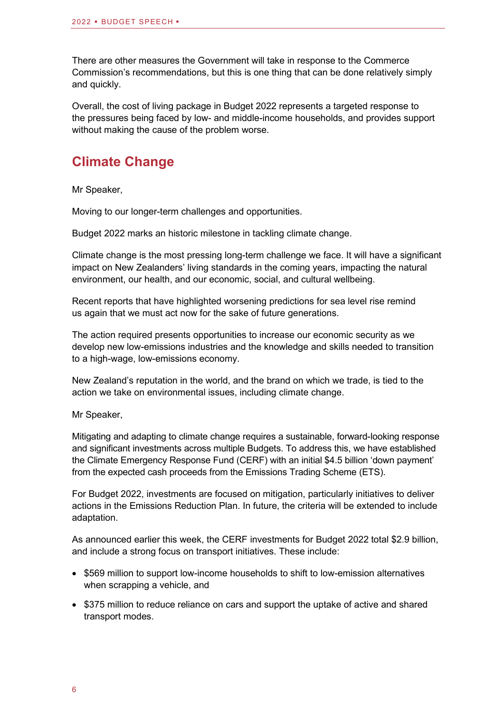There are other measures the Government will take in response to the Commerce Commission's recommendations, but this is one thing that can be done relatively simply and quickly.

Overall, the cost of living package in Budget 2022 represents a targeted response to the pressures being faced by low- and middle-income households, and provides support without making the cause of the problem worse.

#### **Climate Change**

Mr Speaker,

Moving to our longer-term challenges and opportunities.

Budget 2022 marks an historic milestone in tackling climate change.

Climate change is the most pressing long-term challenge we face. It will have a significant impact on New Zealanders' living standards in the coming years, impacting the natural environment, our health, and our economic, social, and cultural wellbeing.

Recent reports that have highlighted worsening predictions for sea level rise remind us again that we must act now for the sake of future generations.

The action required presents opportunities to increase our economic security as we develop new low-emissions industries and the knowledge and skills needed to transition to a high-wage, low-emissions economy.

New Zealand's reputation in the world, and the brand on which we trade, is tied to the action we take on environmental issues, including climate change.

Mr Speaker,

Mitigating and adapting to climate change requires a sustainable, forward-looking response and significant investments across multiple Budgets. To address this, we have established the Climate Emergency Response Fund (CERF) with an initial \$4.5 billion 'down payment' from the expected cash proceeds from the Emissions Trading Scheme (ETS).

For Budget 2022, investments are focused on mitigation, particularly initiatives to deliver actions in the Emissions Reduction Plan. In future, the criteria will be extended to include adaptation.

As announced earlier this week, the CERF investments for Budget 2022 total \$2.9 billion, and include a strong focus on transport initiatives. These include:

- \$569 million to support low-income households to shift to low-emission alternatives when scrapping a vehicle, and
- \$375 million to reduce reliance on cars and support the uptake of active and shared transport modes.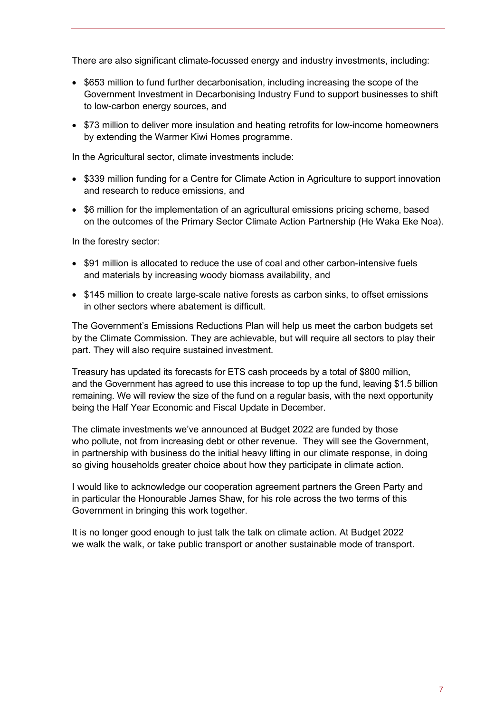There are also significant climate-focussed energy and industry investments, including:

- \$653 million to fund further decarbonisation, including increasing the scope of the Government Investment in Decarbonising Industry Fund to support businesses to shift to low-carbon energy sources, and
- \$73 million to deliver more insulation and heating retrofits for low-income homeowners by extending the Warmer Kiwi Homes programme.

In the Agricultural sector, climate investments include:

- \$339 million funding for a Centre for Climate Action in Agriculture to support innovation and research to reduce emissions, and
- \$6 million for the implementation of an agricultural emissions pricing scheme, based on the outcomes of the Primary Sector Climate Action Partnership (He Waka Eke Noa).

In the forestry sector:

- \$91 million is allocated to reduce the use of coal and other carbon-intensive fuels and materials by increasing woody biomass availability, and
- \$145 million to create large-scale native forests as carbon sinks, to offset emissions in other sectors where abatement is difficult.

The Government's Emissions Reductions Plan will help us meet the carbon budgets set by the Climate Commission. They are achievable, but will require all sectors to play their part. They will also require sustained investment.

Treasury has updated its forecasts for ETS cash proceeds by a total of \$800 million, and the Government has agreed to use this increase to top up the fund, leaving \$1.5 billion remaining. We will review the size of the fund on a regular basis, with the next opportunity being the Half Year Economic and Fiscal Update in December.

The climate investments we've announced at Budget 2022 are funded by those who pollute, not from increasing debt or other revenue. They will see the Government, in partnership with business do the initial heavy lifting in our climate response, in doing so giving households greater choice about how they participate in climate action.

I would like to acknowledge our cooperation agreement partners the Green Party and in particular the Honourable James Shaw, for his role across the two terms of this Government in bringing this work together.

It is no longer good enough to just talk the talk on climate action. At Budget 2022 we walk the walk, or take public transport or another sustainable mode of transport.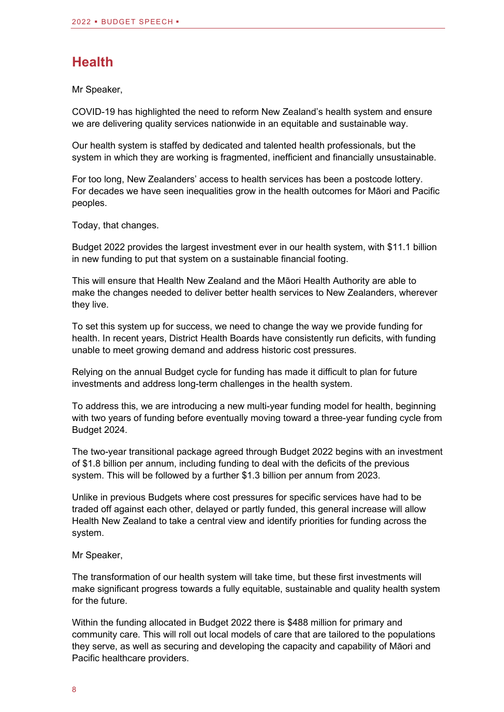#### **Health**

Mr Speaker,

COVID-19 has highlighted the need to reform New Zealand's health system and ensure we are delivering quality services nationwide in an equitable and sustainable way.

Our health system is staffed by dedicated and talented health professionals, but the system in which they are working is fragmented, inefficient and financially unsustainable.

For too long, New Zealanders' access to health services has been a postcode lottery. For decades we have seen inequalities grow in the health outcomes for Māori and Pacific peoples.

Today, that changes.

Budget 2022 provides the largest investment ever in our health system, with \$11.1 billion in new funding to put that system on a sustainable financial footing.

This will ensure that Health New Zealand and the Māori Health Authority are able to make the changes needed to deliver better health services to New Zealanders, wherever they live.

To set this system up for success, we need to change the way we provide funding for health. In recent years, District Health Boards have consistently run deficits, with funding unable to meet growing demand and address historic cost pressures.

Relying on the annual Budget cycle for funding has made it difficult to plan for future investments and address long-term challenges in the health system.

To address this, we are introducing a new multi-year funding model for health, beginning with two years of funding before eventually moving toward a three-year funding cycle from Budget 2024.

The two-year transitional package agreed through Budget 2022 begins with an investment of \$1.8 billion per annum, including funding to deal with the deficits of the previous system. This will be followed by a further \$1.3 billion per annum from 2023.

Unlike in previous Budgets where cost pressures for specific services have had to be traded off against each other, delayed or partly funded, this general increase will allow Health New Zealand to take a central view and identify priorities for funding across the system.

Mr Speaker,

The transformation of our health system will take time, but these first investments will make significant progress towards a fully equitable, sustainable and quality health system for the future.

Within the funding allocated in Budget 2022 there is \$488 million for primary and community care. This will roll out local models of care that are tailored to the populations they serve, as well as securing and developing the capacity and capability of Māori and Pacific healthcare providers.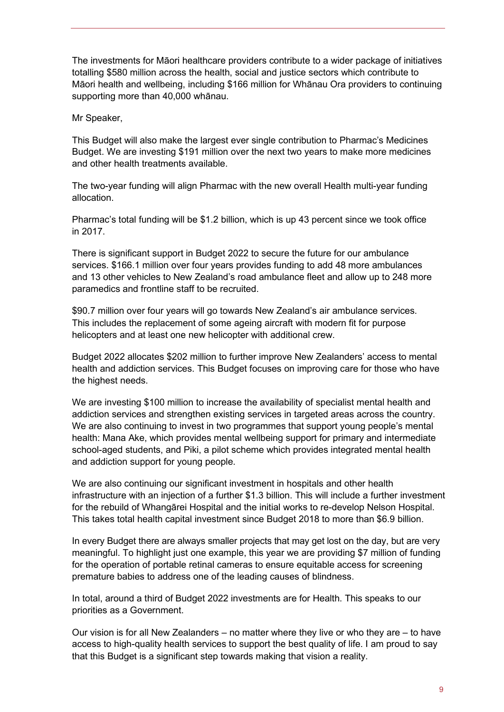The investments for Māori healthcare providers contribute to a wider package of initiatives totalling \$580 million across the health, social and justice sectors which contribute to Māori health and wellbeing, including \$166 million for Whānau Ora providers to continuing supporting more than 40,000 whānau.

Mr Speaker,

This Budget will also make the largest ever single contribution to Pharmac's Medicines Budget. We are investing \$191 million over the next two years to make more medicines and other health treatments available.

The two-year funding will align Pharmac with the new overall Health multi-year funding allocation.

Pharmac's total funding will be \$1.2 billion, which is up 43 percent since we took office in 2017.

There is significant support in Budget 2022 to secure the future for our ambulance services. \$166.1 million over four years provides funding to add 48 more ambulances and 13 other vehicles to New Zealand's road ambulance fleet and allow up to 248 more paramedics and frontline staff to be recruited.

\$90.7 million over four years will go towards New Zealand's air ambulance services. This includes the replacement of some ageing aircraft with modern fit for purpose helicopters and at least one new helicopter with additional crew.

Budget 2022 allocates \$202 million to further improve New Zealanders' access to mental health and addiction services. This Budget focuses on improving care for those who have the highest needs.

We are investing \$100 million to increase the availability of specialist mental health and addiction services and strengthen existing services in targeted areas across the country. We are also continuing to invest in two programmes that support young people's mental health: Mana Ake, which provides mental wellbeing support for primary and intermediate school-aged students, and Piki, a pilot scheme which provides integrated mental health and addiction support for young people.

We are also continuing our significant investment in hospitals and other health infrastructure with an injection of a further \$1.3 billion. This will include a further investment for the rebuild of Whangārei Hospital and the initial works to re-develop Nelson Hospital. This takes total health capital investment since Budget 2018 to more than \$6.9 billion.

In every Budget there are always smaller projects that may get lost on the day, but are very meaningful. To highlight just one example, this year we are providing \$7 million of funding for the operation of portable retinal cameras to ensure equitable access for screening premature babies to address one of the leading causes of blindness.

In total, around a third of Budget 2022 investments are for Health. This speaks to our priorities as a Government.

Our vision is for all New Zealanders – no matter where they live or who they are – to have access to high-quality health services to support the best quality of life. I am proud to say that this Budget is a significant step towards making that vision a reality.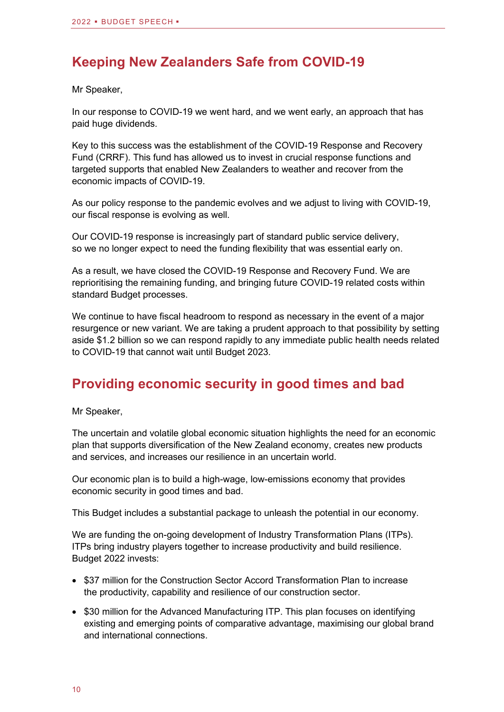#### **Keeping New Zealanders Safe from COVID-19**

Mr Speaker,

In our response to COVID-19 we went hard, and we went early, an approach that has paid huge dividends.

Key to this success was the establishment of the COVID-19 Response and Recovery Fund (CRRF). This fund has allowed us to invest in crucial response functions and targeted supports that enabled New Zealanders to weather and recover from the economic impacts of COVID-19.

As our policy response to the pandemic evolves and we adjust to living with COVID-19, our fiscal response is evolving as well.

Our COVID-19 response is increasingly part of standard public service delivery, so we no longer expect to need the funding flexibility that was essential early on.

As a result, we have closed the COVID-19 Response and Recovery Fund. We are reprioritising the remaining funding, and bringing future COVID-19 related costs within standard Budget processes.

We continue to have fiscal headroom to respond as necessary in the event of a major resurgence or new variant. We are taking a prudent approach to that possibility by setting aside \$1.2 billion so we can respond rapidly to any immediate public health needs related to COVID-19 that cannot wait until Budget 2023.

#### **Providing economic security in good times and bad**

Mr Speaker,

The uncertain and volatile global economic situation highlights the need for an economic plan that supports diversification of the New Zealand economy, creates new products and services, and increases our resilience in an uncertain world.

Our economic plan is to build a high-wage, low-emissions economy that provides economic security in good times and bad.

This Budget includes a substantial package to unleash the potential in our economy.

We are funding the on-going development of Industry Transformation Plans (ITPs). ITPs bring industry players together to increase productivity and build resilience. Budget 2022 invests:

- \$37 million for the Construction Sector Accord Transformation Plan to increase the productivity, capability and resilience of our construction sector.
- \$30 million for the Advanced Manufacturing ITP. This plan focuses on identifying existing and emerging points of comparative advantage, maximising our global brand and international connections.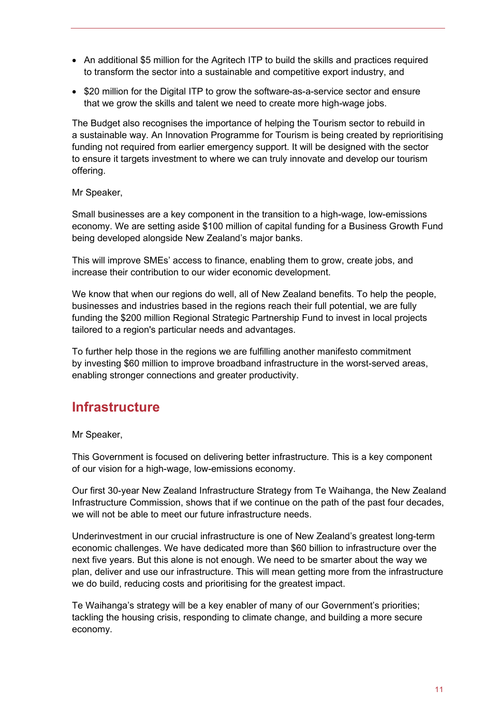- An additional \$5 million for the Agritech ITP to build the skills and practices required to transform the sector into a sustainable and competitive export industry, and
- \$20 million for the Digital ITP to grow the software-as-a-service sector and ensure that we grow the skills and talent we need to create more high-wage jobs.

The Budget also recognises the importance of helping the Tourism sector to rebuild in a sustainable way. An Innovation Programme for Tourism is being created by reprioritising funding not required from earlier emergency support. It will be designed with the sector to ensure it targets investment to where we can truly innovate and develop our tourism offering.

Mr Speaker,

Small businesses are a key component in the transition to a high-wage, low-emissions economy. We are setting aside \$100 million of capital funding for a Business Growth Fund being developed alongside New Zealand's major banks.

This will improve SMEs' access to finance, enabling them to grow, create jobs, and increase their contribution to our wider economic development.

We know that when our regions do well, all of New Zealand benefits. To help the people, businesses and industries based in the regions reach their full potential, we are fully funding the \$200 million Regional Strategic Partnership Fund to invest in local projects tailored to a region's particular needs and advantages.

To further help those in the regions we are fulfilling another manifesto commitment by investing \$60 million to improve broadband infrastructure in the worst-served areas, enabling stronger connections and greater productivity.

#### **Infrastructure**

Mr Speaker,

This Government is focused on delivering better infrastructure. This is a key component of our vision for a high-wage, low-emissions economy.

Our first 30-year New Zealand Infrastructure Strategy from Te Waihanga, the New Zealand Infrastructure Commission, shows that if we continue on the path of the past four decades, we will not be able to meet our future infrastructure needs.

Underinvestment in our crucial infrastructure is one of New Zealand's greatest long-term economic challenges. We have dedicated more than \$60 billion to infrastructure over the next five years. But this alone is not enough. We need to be smarter about the way we plan, deliver and use our infrastructure. This will mean getting more from the infrastructure we do build, reducing costs and prioritising for the greatest impact.

Te Waihanga's strategy will be a key enabler of many of our Government's priorities; tackling the housing crisis, responding to climate change, and building a more secure economy.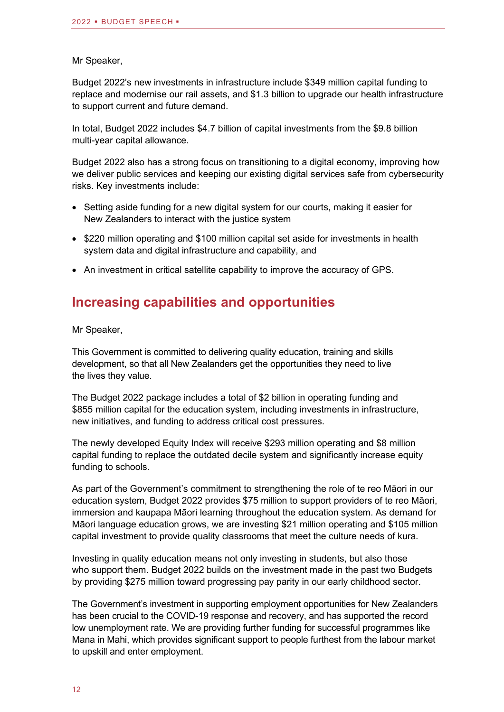#### Mr Speaker,

Budget 2022's new investments in infrastructure include \$349 million capital funding to replace and modernise our rail assets, and \$1.3 billion to upgrade our health infrastructure to support current and future demand.

In total, Budget 2022 includes \$4.7 billion of capital investments from the \$9.8 billion multi-year capital allowance.

Budget 2022 also has a strong focus on transitioning to a digital economy, improving how we deliver public services and keeping our existing digital services safe from cybersecurity risks. Key investments include:

- Setting aside funding for a new digital system for our courts, making it easier for New Zealanders to interact with the justice system
- \$220 million operating and \$100 million capital set aside for investments in health system data and digital infrastructure and capability, and
- An investment in critical satellite capability to improve the accuracy of GPS.

#### **Increasing capabilities and opportunities**

Mr Speaker,

This Government is committed to delivering quality education, training and skills development, so that all New Zealanders get the opportunities they need to live the lives they value.

The Budget 2022 package includes a total of \$2 billion in operating funding and \$855 million capital for the education system, including investments in infrastructure, new initiatives, and funding to address critical cost pressures.

The newly developed Equity Index will receive \$293 million operating and \$8 million capital funding to replace the outdated decile system and significantly increase equity funding to schools.

As part of the Government's commitment to strengthening the role of te reo Māori in our education system, Budget 2022 provides \$75 million to support providers of te reo Māori, immersion and kaupapa Māori learning throughout the education system. As demand for Māori language education grows, we are investing \$21 million operating and \$105 million capital investment to provide quality classrooms that meet the culture needs of kura.

Investing in quality education means not only investing in students, but also those who support them. Budget 2022 builds on the investment made in the past two Budgets by providing \$275 million toward progressing pay parity in our early childhood sector.

The Government's investment in supporting employment opportunities for New Zealanders has been crucial to the COVID-19 response and recovery, and has supported the record low unemployment rate. We are providing further funding for successful programmes like Mana in Mahi, which provides significant support to people furthest from the labour market to upskill and enter employment.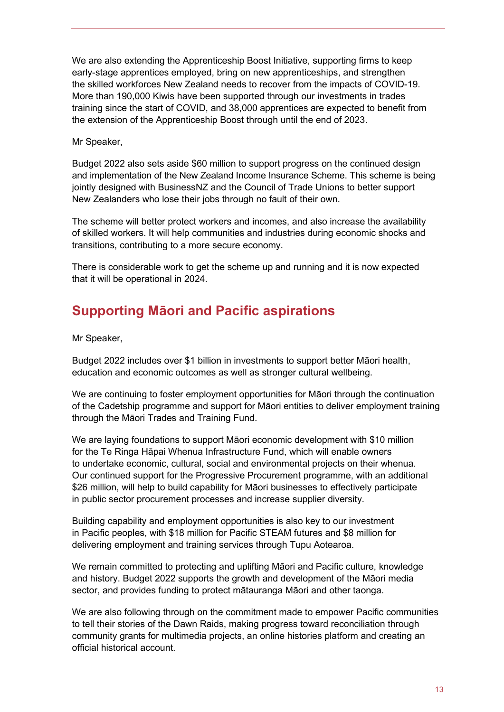We are also extending the Apprenticeship Boost Initiative, supporting firms to keep early-stage apprentices employed, bring on new apprenticeships, and strengthen the skilled workforces New Zealand needs to recover from the impacts of COVID-19. More than 190,000 Kiwis have been supported through our investments in trades training since the start of COVID, and 38,000 apprentices are expected to benefit from the extension of the Apprenticeship Boost through until the end of 2023.

Mr Speaker,

Budget 2022 also sets aside \$60 million to support progress on the continued design and implementation of the New Zealand Income Insurance Scheme. This scheme is being jointly designed with BusinessNZ and the Council of Trade Unions to better support New Zealanders who lose their jobs through no fault of their own.

The scheme will better protect workers and incomes, and also increase the availability of skilled workers. It will help communities and industries during economic shocks and transitions, contributing to a more secure economy.

There is considerable work to get the scheme up and running and it is now expected that it will be operational in 2024.

## **Supporting Māori and Pacific aspirations**

Mr Speaker,

Budget 2022 includes over \$1 billion in investments to support better Māori health, education and economic outcomes as well as stronger cultural wellbeing.

We are continuing to foster employment opportunities for Māori through the continuation of the Cadetship programme and support for Māori entities to deliver employment training through the Māori Trades and Training Fund.

We are laying foundations to support Māori economic development with \$10 million for the Te Ringa Hāpai Whenua Infrastructure Fund, which will enable owners to undertake economic, cultural, social and environmental projects on their whenua. Our continued support for the Progressive Procurement programme, with an additional \$26 million, will help to build capability for Māori businesses to effectively participate in public sector procurement processes and increase supplier diversity.

Building capability and employment opportunities is also key to our investment in Pacific peoples, with \$18 million for Pacific STEAM futures and \$8 million for delivering employment and training services through Tupu Aotearoa.

We remain committed to protecting and uplifting Māori and Pacific culture, knowledge and history. Budget 2022 supports the growth and development of the Māori media sector, and provides funding to protect mātauranga Māori and other taonga.

We are also following through on the commitment made to empower Pacific communities to tell their stories of the Dawn Raids, making progress toward reconciliation through community grants for multimedia projects, an online histories platform and creating an official historical account.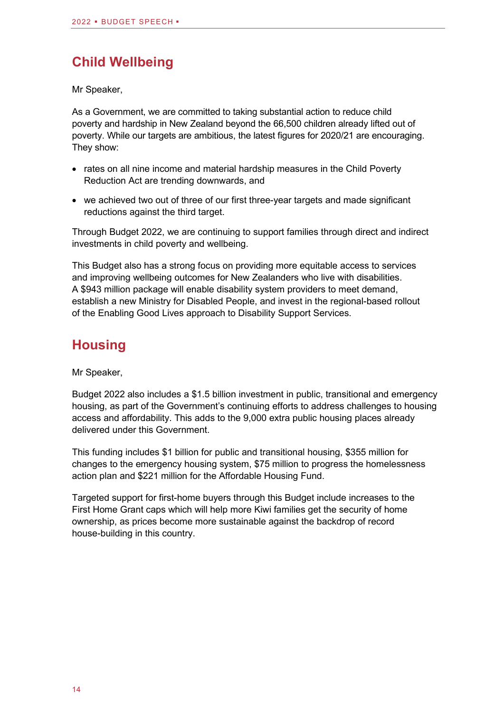## **Child Wellbeing**

Mr Speaker,

As a Government, we are committed to taking substantial action to reduce child poverty and hardship in New Zealand beyond the 66,500 children already lifted out of poverty. While our targets are ambitious, the latest figures for 2020/21 are encouraging. They show:

- rates on all nine income and material hardship measures in the Child Poverty Reduction Act are trending downwards, and
- we achieved two out of three of our first three-year targets and made significant reductions against the third target.

Through Budget 2022, we are continuing to support families through direct and indirect investments in child poverty and wellbeing.

This Budget also has a strong focus on providing more equitable access to services and improving wellbeing outcomes for New Zealanders who live with disabilities. A \$943 million package will enable disability system providers to meet demand, establish a new Ministry for Disabled People, and invest in the regional-based rollout of the Enabling Good Lives approach to Disability Support Services.

## **Housing**

Mr Speaker,

Budget 2022 also includes a \$1.5 billion investment in public, transitional and emergency housing, as part of the Government's continuing efforts to address challenges to housing access and affordability. This adds to the 9,000 extra public housing places already delivered under this Government.

This funding includes \$1 billion for public and transitional housing, \$355 million for changes to the emergency housing system, \$75 million to progress the homelessness action plan and \$221 million for the Affordable Housing Fund.

Targeted support for first-home buyers through this Budget include increases to the First Home Grant caps which will help more Kiwi families get the security of home ownership, as prices become more sustainable against the backdrop of record house-building in this country.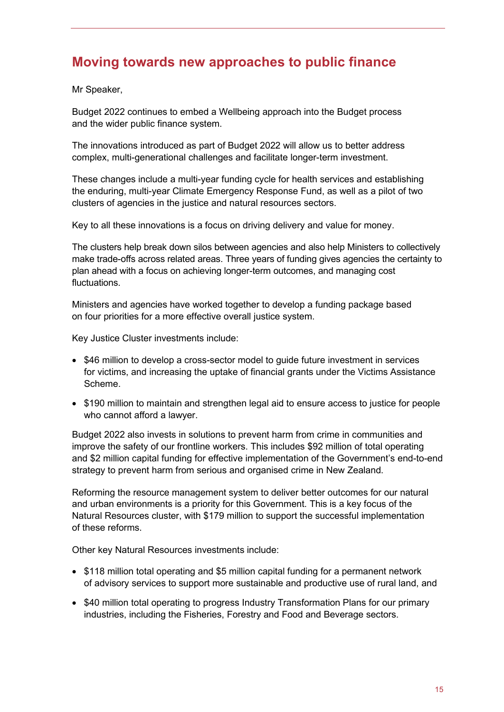#### **Moving towards new approaches to public finance**

Mr Speaker,

Budget 2022 continues to embed a Wellbeing approach into the Budget process and the wider public finance system.

The innovations introduced as part of Budget 2022 will allow us to better address complex, multi-generational challenges and facilitate longer-term investment.

These changes include a multi-year funding cycle for health services and establishing the enduring, multi-year Climate Emergency Response Fund, as well as a pilot of two clusters of agencies in the justice and natural resources sectors.

Key to all these innovations is a focus on driving delivery and value for money.

The clusters help break down silos between agencies and also help Ministers to collectively make trade-offs across related areas. Three years of funding gives agencies the certainty to plan ahead with a focus on achieving longer-term outcomes, and managing cost fluctuations.

Ministers and agencies have worked together to develop a funding package based on four priorities for a more effective overall justice system.

Key Justice Cluster investments include:

- \$46 million to develop a cross-sector model to guide future investment in services for victims, and increasing the uptake of financial grants under the Victims Assistance Scheme.
- \$190 million to maintain and strengthen legal aid to ensure access to justice for people who cannot afford a lawyer.

Budget 2022 also invests in solutions to prevent harm from crime in communities and improve the safety of our frontline workers. This includes \$92 million of total operating and \$2 million capital funding for effective implementation of the Government's end-to-end strategy to prevent harm from serious and organised crime in New Zealand.

Reforming the resource management system to deliver better outcomes for our natural and urban environments is a priority for this Government. This is a key focus of the Natural Resources cluster, with \$179 million to support the successful implementation of these reforms.

Other key Natural Resources investments include:

- \$118 million total operating and \$5 million capital funding for a permanent network of advisory services to support more sustainable and productive use of rural land, and
- \$40 million total operating to progress Industry Transformation Plans for our primary industries, including the Fisheries, Forestry and Food and Beverage sectors.